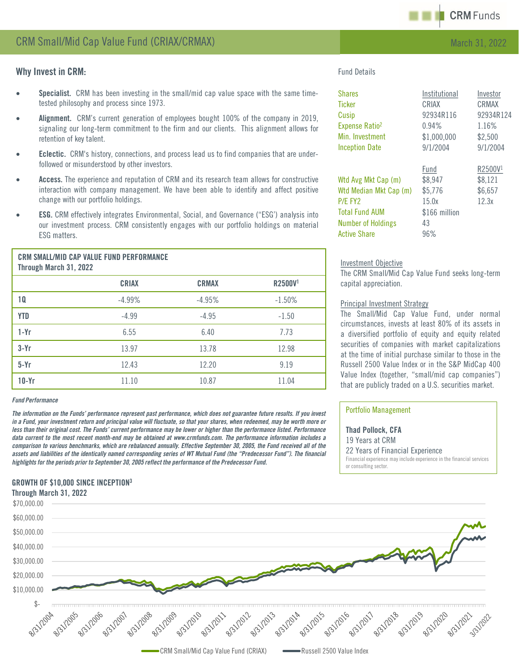

# Why Invest in CRM:

- Specialist. CRM has been investing in the small/mid cap value space with the same timetested philosophy and process since 1973.
- Alignment. CRM's current generation of employees bought 100% of the company in 2019, signaling our long-term commitment to the firm and our clients. This alignment allows for retention of key talent.
- **Eclectic.** CRM's history, connections, and process lead us to find companies that are underfollowed or misunderstood by other investors.
- Access. The experience and reputation of CRM and its research team allows for constructive interaction with company management. We have been able to identify and affect positive change with our portfolio holdings.
- **ESG.** CRM effectively integrates Environmental, Social, and Governance ("ESG") analysis into our investment process. CRM consistently engages with our portfolio holdings on material ESG matters.

|                        | <b>CRM SMALL/MID CAP VALUE FUND PERFORMANCE</b> |
|------------------------|-------------------------------------------------|
| Through March 31, 2022 |                                                 |

|            | <b>CRIAX</b> | <b>CRMAX</b> | R2500V <sup>1</sup> |
|------------|--------------|--------------|---------------------|
| 10         | $-4.99%$     | $-4.95%$     | $-1.50%$            |
| <b>YTD</b> | $-4.99$      | $-4.95$      | $-1.50$             |
| $1-Yr$     | 6.55         | 6.40         | 7.73                |
| $3-Yr$     | 13.97        | 13.78        | 12.98               |
| $5-Yr$     | 12.43        | 12.20        | 9.19                |
| $10-Yr$    | 11.10        | 10.87        | 11.04               |

### *Fund Performance*

The information on the Funds' performance represent past performance, which does not guarantee future results. If you invest in a Fund, your investment return and principal value will fluctuate, so that your shares, when redeemed, may be worth more or less than their original cost. The Funds' current performance may be lower or higher than the performance listed. Performance data current to the most recent month-end may be obtained at www.crmfunds.com. The performance information includes a comparison to various benchmarks, which are rebalanced annually. Effective September 30, 2005, the Fund received all of the assets and liabilities of the identically named corresponding series of WT Mutual Fund (the "Predecessor Fund"). The financial *highlightsfor the periods prior to September 30, 2005 reflect the performance of the Predecessor Fund.*

## GROWTH OF \$10,000 SINCE INCEPTION3 Through March 31, 2022

Fund Details

| <b>Shares</b>              | Institutional | Investor            |
|----------------------------|---------------|---------------------|
| <b>Ticker</b>              | CRIAX         | CRMAX               |
| Cusip                      | 92934R116     | 92934R124           |
| Expense Ratio <sup>2</sup> | 0.94%         | 1.16%               |
| Min. Investment            | \$1,000,000   | \$2,500             |
| <b>Inception Date</b>      | 9/1/2004      | 9/1/2004            |
|                            | Fund          | R2500V <sup>1</sup> |
| Wtd Avg Mkt Cap (m)        | \$8,947       | \$8,121             |
| Wtd Median Mkt Cap (m)     | \$5,776       | \$6,657             |
| P/E FY2                    | 15.0x         | 12.3x               |
| <b>Total Fund AUM</b>      | \$166 million |                     |
| <b>Number of Holdings</b>  | 43            |                     |
| <b>Active Share</b>        | 96%           |                     |

#### Investment Objective

The CRM Small/Mid Cap Value Fund seeks long-term capital appreciation.

### Principal Investment Strategy

The Small/Mid Cap Value Fund, under normal circumstances, invests at least 80% of its assets in a diversified portfolio of equity and equity related securities of companies with market capitalizations at the time of initial purchase similar to those in the Russell 2500 Value Index or in the S&P MidCap 400 Value Index (together, "small/mid cap companies") that are publicly traded on a U.S. securities market.

### Portfolio Management

Thad Pollock, CFA 19 Years at CRM 22 Years of Financial Experience Financial experience may include experience in the financial services or consulting sector.